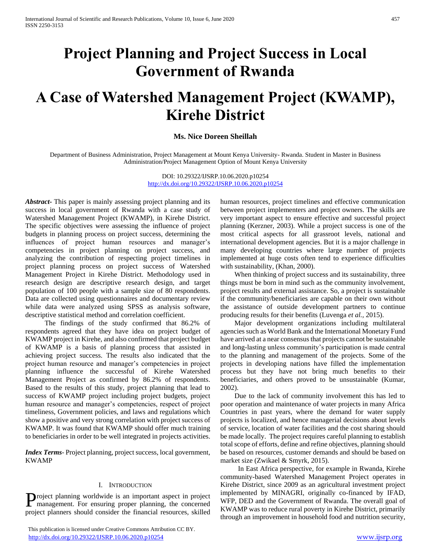# **Project Planning and Project Success in Local Government of Rwanda**

# **A Case of Watershed Management Project (KWAMP), Kirehe District**

# **Ms. Nice Doreen Sheillah**

Department of Business Administration, Project Management at Mount Kenya University- Rwanda. Student in Master in Business Administration/Project Management Option of Mount Kenya University

> DOI: 10.29322/IJSRP.10.06.2020.p10254 <http://dx.doi.org/10.29322/IJSRP.10.06.2020.p10254>

*Abstract***-** This paper is mainly assessing project planning and its success in local government of Rwanda with a case study of Watershed Management Project (KWAMP), in Kirehe District. The specific objectives were assessing the influence of project budgets in planning process on project success, determining the influences of project human resources and manager's competencies in project planning on project success, and analyzing the contribution of respecting project timelines in project planning process on project success of Watershed Management Project in Kirehe District. Methodology used in research design are descriptive research design, and target population of 100 people with a sample size of 80 respondents. Data are collected using questionnaires and documentary review while data were analyzed using SPSS as analysis software, descriptive statistical method and correlation coefficient.

 The findings of the study confirmed that 86.2% of respondents agreed that they have idea on project budget of KWAMP project in Kirehe, and also confirmed that project budget of KWAMP is a basis of planning process that assisted in achieving project success. The results also indicated that the project human resource and manager's competencies in project planning influence the successful of Kirehe Watershed Management Project as confirmed by 86.2% of respondents. Based to the results of this study, project planning that lead to success of KWAMP project including project budgets, project human resource and manager's competencies, respect of project timeliness, Government policies, and laws and regulations which show a positive and very strong correlation with project success of KWAMP. It was found that KWAMP should offer much training to beneficiaries in order to be well integrated in projects activities.

*Index Terms*- Project planning, project success, local government, KWAMP

#### I. INTRODUCTION

roject planning worldwide is an important aspect in project Project planning worldwide is an important aspect in project management. For ensuring proper planning, the concerned project planners should consider the financial resources, skilled

 This publication is licensed under Creative Commons Attribution CC BY. <http://dx.doi.org/10.29322/IJSRP.10.06.2020.p10254> [www.ijsrp.org](http://ijsrp.org/)

human resources, project timelines and effective communication between project implementers and project owners. The skills are very important aspect to ensure effective and successful project planning (Kerzner, 2003). While a project success is one of the most critical aspects for all grassroot levels, national and international development agencies. But it is a major challenge in many developing countries where large number of projects implemented at huge costs often tend to experience difficulties with sustainability, (Khan, 2000).

 When thinking of project success and its sustainability, three things must be born in mind such as the community involvement, project results and external assistance. So, a project is sustainable if the community/beneficiaries are capable on their own without the assistance of outside development partners to continue producing results for their benefits (Luvenga *et al.,* 2015).

 Major development organizations including multilateral agencies such as World Bank and the International Monetary Fund have arrived at a near consensus that projects cannot be sustainable and long-lasting unless community's participation is made central to the planning and management of the projects. Some of the projects in developing nations have filled the implementation process but they have not bring much benefits to their beneficiaries, and others proved to be unsustainable (Kumar, 2002).

 Due to the lack of community involvement this has led to poor operation and maintenance of water projects in many Africa Countries in past years, where the demand for water supply projects is localized, and hence managerial decisions about levels of service, location of water facilities and the cost sharing should be made locally. The project requires careful planning to establish total scope of efforts, define and refine objectives, planning should be based on resources, customer demands and should be based on market size (Zwikael & Smyrk, 2015).

 In East Africa perspective, for example in Rwanda, Kirehe community-based Watershed Management Project operates in Kirehe District, since 2009 as an agricultural investment project implemented by MINAGRI, originally co-financed by IFAD, WFP, DED and the Government of Rwanda. The overall goal of KWAMP was to reduce rural poverty in Kirehe District, primarily through an improvement in household food and nutrition security,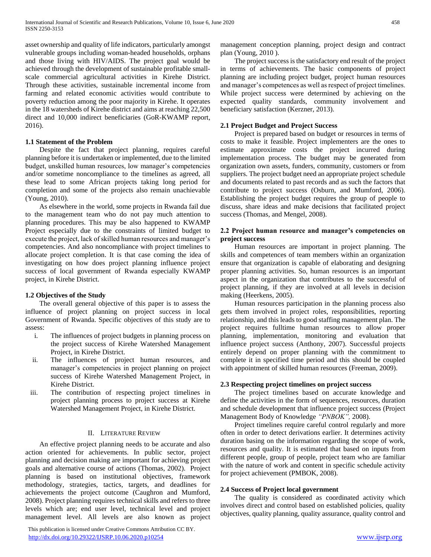asset ownership and quality of life indicators, particularly amongst vulnerable groups including woman-headed households, orphans and those living with HIV/AIDS. The project goal would be achieved through the development of sustainable profitable smallscale commercial agricultural activities in Kirehe District. Through these activities, sustainable incremental income from farming and related economic activities would contribute to poverty reduction among the poor majority in Kirehe. It operates in the 18 watersheds of Kirehe district and aims at reaching 22,500 direct and 10,000 indirect beneficiaries (GoR-KWAMP report, 2016).

## **1.1 Statement of the Problem**

 Despite the fact that project planning, requires careful planning before it is undertaken or implemented, due to the limited budget, unskilled human resources, low manager's competencies and/or sometime noncompliance to the timelines as agreed, all these lead to some African projects taking long period for completion and some of the projects also remain unachievable (Young, 2010).

 As elsewhere in the world, some projects in Rwanda fail due to the management team who do not pay much attention to planning procedures. This may be also happened to KWAMP Project especially due to the constraints of limited budget to execute the project, lack of skilled human resources and manager's competencies. And also noncompliance with project timelines to allocate project completion. It is that case coming the idea of investigating on how does project planning influence project success of local government of Rwanda especially KWAMP project, in Kirehe District.

# **1.2 Objectives of the Study**

 The overall general objective of this paper is to assess the influence of project planning on project success in local Government of Rwanda. Specific objectives of this study are to assess:

- i. The influences of project budgets in planning process on the project success of Kirehe Watershed Management Project, in Kirehe District.
- ii. The influences of project human resources, and manager's competencies in project planning on project success of Kirehe Watershed Management Project, in Kirehe District.
- iii. The contribution of respecting project timelines in project planning process to project success at Kirehe Watershed Management Project, in Kirehe District.

#### II. LITERATURE REVIEW

 An effective project planning needs to be accurate and also action oriented for achievements. In public sector, project planning and decision making are important for achieving project goals and alternative course of actions (Thomas, 2002). Project planning is based on institutional objectives, framework methodology, strategies, tactics, targets, and deadlines for achievements the project outcome (Caughron and Mumford, 2008). Project planning requires technical skills and refers to three levels which are; end user level, technical level and project management level. All levels are also known as project

 This publication is licensed under Creative Commons Attribution CC BY. <http://dx.doi.org/10.29322/IJSRP.10.06.2020.p10254> [www.ijsrp.org](http://ijsrp.org/)

management conception planning, project design and contract plan (Young, 2010 ).

 The project success is the satisfactory end result of the project in terms of achievements. The basic components of project planning are including project budget, project human resources and manager's competences as well as respect of project timelines. While project success were determined by achieving on the expected quality standards, community involvement and beneficiary satisfaction (Kerzner, 2013).

## **2.1 Project Budget and Project Success**

 Project is prepared based on budget or resources in terms of costs to make it feasible. Project implementers are the ones to estimate approximate costs the project incurred during implementation process. The budget may be generated from organization own assets, funders, community, customers or from suppliers. The project budget need an appropriate project schedule and documents related to past records and as such the factors that contribute to project success (Osburn, and Mumford, 2006). Establishing the project budget requires the group of people to discuss, share ideas and make decisions that facilitated project success (Thomas, and Mengel, 2008).

## **2.2 Project human resource and manager's competencies on project success**

 Human resources are important in project planning. The skills and competences of team members within an organization ensure that organization is capable of elaborating and designing proper planning activities. So, human resources is an important aspect in the organization that contributes to the successful of project planning, if they are involved at all levels in decision making (Heerkens, 2005).

 Human resources participation in the planning process also gets them involved in project roles, responsibilities, reporting relationship, and this leads to good staffing management plan. The project requires fulltime human resources to allow proper planning, implementation, monitoring and evaluation that influence project success (Anthony, 2007). Successful projects entirely depend on proper planning with the commitment to complete it in specified time period and this should be coupled with appointment of skilled human resources (Freeman, 2009).

#### **2.3 Respecting project timelines on project success**

 The project timelines based on accurate knowledge and define the activities in the form of sequences, resources, duration and schedule development that influence project success (Project Management Body of Knowledge *"PNBOK",* 2008).

 Project timelines require careful control regularly and more often in order to detect derivations earlier. It determines activity duration basing on the information regarding the scope of work, resources and quality. It is estimated that based on inputs from different people, group of people, project team who are familiar with the nature of work and content in specific schedule activity for project achievement (PMBOK, 2008).

#### **2.4 Success of Project local government**

 The quality is considered as coordinated activity which involves direct and control based on established policies, quality objectives, quality planning, quality assurance, quality control and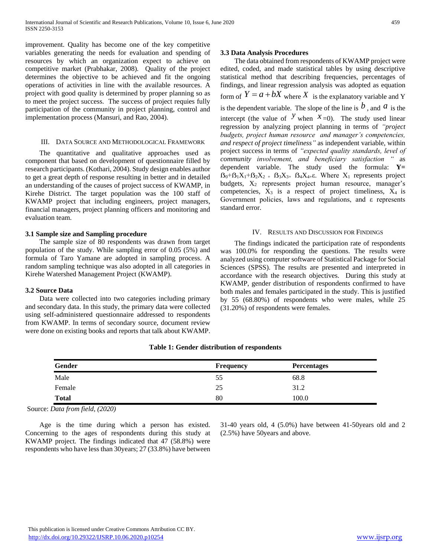improvement. Quality has become one of the key competitive variables generating the needs for evaluation and spending of resources by which an organization expect to achieve on competitive market (Prabhakar, 2008). Quality of the project determines the objective to be achieved and fit the ongoing operations of activities in line with the available resources. A project with good quality is determined by proper planning so as to meet the project success. The success of project requies fully participation of the community in project planning, control and implementation process (Mansuri, and Rao, 2004).

#### III. DATA SOURCE AND METHODOLOGICAL FRAMEWORK

 The quantitative and qualitative approaches used as component that based on development of questionnaire filled by research participants. (Kothari, 2004). Study design enables author to get a great depth of response resulting in better and in detailed an understanding of the causes of project success of KWAMP, in Kirehe District. The target population was the 100 staff of KWAMP project that including engineers, project managers, financial managers, project planning officers and monitoring and evaluation team.

#### **3.1 Sample size and Sampling procedure**

 The sample size of 80 respondents was drawn from target population of the study. While sampling error of 0.05 (5%) and formula of Taro Yamane are adopted in sampling process. A random sampling technique was also adopted in all categories in Kirehe Watershed Management Project (KWAMP).

#### **3.2 Source Data**

 Data were collected into two categories including primary and secondary data. In this study, the primary data were collected using self-administered questionnaire addressed to respondents from KWAMP. In terms of secondary source, document review were done on existing books and reports that talk about KWAMP.

## **3.3 Data Analysis Procedures**

 The data obtained from respondents of KWAMP project were edited, coded, and made statistical tables by using descriptive statistical method that describing frequencies, percentages of findings, and linear regression analysis was adopted as equation form of  $Y = a + bX$  where X is the explanatory variable and Y is the dependent variable. The slope of the line is  $\hat{b}$ , and  $\hat{a}$  is the intercept (the value of  $\frac{y}{x}$  when  $\frac{x}{y}$  The study used linear regression by analyzing project planning in terms of *"project budgets, project human resource and manager's competencies, and respect of project timeliness"* as independent variable, within project success in terms of *"expected quality standards, level of community involvement, and beneficiary satisfaction "* as dependent variable. The study used the formula: **Y=**  $B_0 + B_1X_1 + B_2X_2 + B_3X_3 + B_4X_4 + \varepsilon$ . Where  $X_1$  represents project budgets,  $X_2$  represents project human resource, manager's competencies,  $X_3$  is a respect of project timeliness,  $X_4$  is Government policies, laws and regulations, and ε represents standard error.

#### IV. RESULTS AND DISCUSSION FOR FINDINGS

 The findings indicated the participation rate of respondents was 100.0% for responding the questions. The results were analyzed using computer software of Statistical Package for Social Sciences (SPSS). The results are presented and interpreted in accordance with the research objectives. During this study at KWAMP, gender distribution of respondents confirmed to have both males and females participated in the study. This is justified by 55 (68.80%) of respondents who were males, while 25 (31.20%) of respondents were females.

| Gender       | <b>Frequency</b> | <b>Percentages</b> |  |
|--------------|------------------|--------------------|--|
| Male         | 55               | 68.8               |  |
| Female       | 25               | 31.2               |  |
| <b>Total</b> | 80               | 100.0              |  |

# **Table 1: Gender distribution of respondents**

Source: *Data from field, (2020)*

 Age is the time during which a person has existed. Concerning to the ages of respondents during this study at KWAMP project. The findings indicated that 47 (58.8%) were respondents who have less than 30years; 27 (33.8%) have between 31-40 years old, 4 (5.0%) have between 41-50years old and 2 (2.5%) have 50years and above.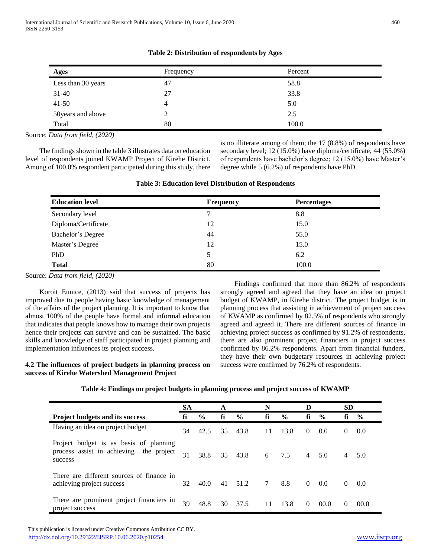| <b>Ages</b>        | Frequency | Percent |
|--------------------|-----------|---------|
| Less than 30 years | 47        | 58.8    |
| $31-40$            | 27        | 33.8    |
| $41 - 50$          | 4         | 5.0     |
| 50 years and above | ∠         | 2.5     |
| Total              | 80        | 100.0   |

# **Table 2: Distribution of respondents by Ages**

Source: *Data from field, (2020)*

 The findings shown in the table 3 illustrates data on education level of respondents joined KWAMP Project of Kirehe District. Among of 100.0% respondent participated during this study, there

is no illiterate among of them; the 17 (8.8%) of respondents have secondary level; 12 (15.0%) have diploma/certificate, 44 (55.0%) of respondents have bachelor's degree; 12 (15.0%) have Master's degree while 5 (6.2%) of respondents have PhD.

| <b>Education level</b> | <b>Frequency</b> | <b>Percentages</b> |
|------------------------|------------------|--------------------|
| Secondary level        | 7                | 8.8                |
| Diploma/Certificate    | 12               | 15.0               |
| Bachelor's Degree      | 44               | 55.0               |
| Master's Degree        | 12               | 15.0               |
| <b>PhD</b>             | 5                | 6.2                |
| <b>Total</b>           | 80               | 100.0              |

Source: *Data from field, (2020)*

Ė

 Koroit Eunice, (2013) said that success of projects has improved due to people having basic knowledge of management of the affairs of the project planning. It is important to know that almost 100% of the people have formal and informal education that indicates that people knows how to manage their own projects hence their projects can survive and can be sustained. The basic skills and knowledge of staff participated in project planning and implementation influences its project success.

## **4.2 The influences of project budgets in planning process on success of Kirehe Watershed Management Project**

 Findings confirmed that more than 86.2% of respondents strongly agreed and agreed that they have an idea on project budget of KWAMP, in Kirehe district. The project budget is in planning process that assisting in achievement of project success of KWAMP as confirmed by 82.5% of respondents who strongly agreed and agreed it. There are different sources of finance in achieving project success as confirmed by 91.2% of respondents, there are also prominent project financiers in project success confirmed by 86.2% respondents. Apart from financial funders, they have their own budgetary resources in achieving project success were confirmed by 76.2% of respondents.

|  |  | Table 4: Findings on project budgets in planning process and project success of KWAMP |
|--|--|---------------------------------------------------------------------------------------|
|  |  |                                                                                       |
|  |  |                                                                                       |
|  |  |                                                                                       |
|  |  |                                                                                       |

|                                                                                              | <b>SA</b> |               | A  |               | N               |               | D              |               | <b>SD</b> |               |
|----------------------------------------------------------------------------------------------|-----------|---------------|----|---------------|-----------------|---------------|----------------|---------------|-----------|---------------|
| <b>Project budgets and its success</b>                                                       | fi        | $\frac{6}{9}$ | fi | $\frac{6}{9}$ | fi              | $\frac{0}{0}$ | fi             | $\frac{0}{0}$ | fi        | $\frac{6}{9}$ |
| Having an idea on project budget                                                             | 34        | 42.5          | 35 | 43.8          | 11              | 13.8          | $\Omega$       | 0.0           | $\theta$  | 0.0           |
| Project budget is as basis of planning<br>process assist in achieving the project<br>success | 31        | 38.8          | 35 | 43.8          | 6               | 7.5           | $\overline{4}$ | 5.0           | 4         | 5.0           |
| There are different sources of finance in<br>achieving project success                       | 32        | 40.0          | 41 | 51.2          | $7\phantom{.0}$ | 8.8           | $\Omega$       | 0.0           | $\theta$  | 0.0           |
| There are prominent project financiers in<br>project success                                 | 39        | 48.8          | 30 | 37.5          | 11              | 13.8          | $\Omega$       | 00.0          | 0         | 00.0          |

 This publication is licensed under Creative Commons Attribution CC BY. <http://dx.doi.org/10.29322/IJSRP.10.06.2020.p10254> [www.ijsrp.org](http://ijsrp.org/)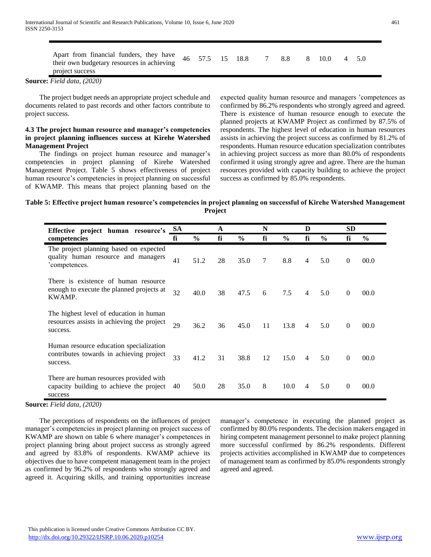| Apart from financial funders, they have $46$ 57.5 15 18.8<br>their own budgetary resources in achieving |  |  | 7 | 8.8 | 8 10.0 | $4 \quad 5.0$ |  |
|---------------------------------------------------------------------------------------------------------|--|--|---|-----|--------|---------------|--|
| project success                                                                                         |  |  |   |     |        |               |  |

**Source:** *Field data, (2020)*

 The project budget needs an appropriate project schedule and documents related to past records and other factors contribute to project success.

## **4.3 The project human resource and manager's competencies in project planning influences success at Kirehe Watershed Management Project**

 The findings on project human resource and manager's competencies in project planning of Kirehe Watershed Management Project. Table 5 shows effectiveness of project human resource's competencies in project planning on successful of KWAMP. This means that project planning based on the

expected quality human resource and managers 'competences as confirmed by 86.2% respondents who strongly agreed and agreed. There is existence of human resource enough to execute the planned projects at KWAMP Project as confirmed by 87.5% of respondents. The highest level of education in human resources assists in achieving the project success as confirmed by 81.2% of respondents. Human resource education specialization contributes in achieving project success as more than 80.0% of respondents confirmed it using strongly agree and agree. There are the human resources provided with capacity building to achieve the project success as confirmed by 85.0% respondents.

# **Table 5: Effective project human resource's competencies in project planning on successful of Kirehe Watershed Management Project**

| Effective project human resource's                                                                | <b>SA</b> |               | A  |               | N      |               | D              |               | <b>SD</b>      |               |
|---------------------------------------------------------------------------------------------------|-----------|---------------|----|---------------|--------|---------------|----------------|---------------|----------------|---------------|
| competencies                                                                                      | fi        | $\frac{6}{9}$ | fi | $\frac{6}{9}$ | fi     | $\frac{6}{9}$ | fi             | $\frac{6}{9}$ | fi             | $\frac{0}{0}$ |
| The project planning based on expected<br>quality human resource and managers<br>'competences.    | 41        | 51.2          | 28 | 35.0          | $\tau$ | 8.8           | $\overline{4}$ | 5.0           | $\overline{0}$ | 00.0          |
| There is existence of human resource<br>enough to execute the planned projects at<br>KWAMP.       | 32        | 40.0          | 38 | 47.5          | 6      | 7.5           | $\overline{4}$ | 5.0           | $\overline{0}$ | 00.0          |
| The highest level of education in human<br>resources assists in achieving the project<br>success. | 29        | 36.2          | 36 | 45.0          | 11     | 13.8          | $\overline{4}$ | 5.0           | $\theta$       | 00.0          |
| Human resource education specialization<br>contributes towards in achieving project<br>success.   | 33        | 41.2          | 31 | 38.8          | 12     | 15.0          | 4              | 5.0           | $\theta$       | 00.0          |
| There are human resources provided with<br>capacity building to achieve the project<br>success    | 40        | 50.0          | 28 | 35.0          | 8      | 10.0          | 4              | 5.0           | $\Omega$       | 00.0          |

**Source:** *Field data, (2020)*

 The perceptions of respondents on the influences of project manager's competencies in project planning on project success of KWAMP are shown on table 6 where manager's competences in project planning bring about project success as strongly agreed and agreed by 83.8% of respondents. KWAMP achieve its objectives due to have competent management team in the project as confirmed by 96.2% of respondents who strongly agreed and agreed it. Acquiring skills, and training opportunities increase

manager's competence in executing the planned project as confirmed by 80.0% respondents. The decision makers engaged in hiring competent management personnel to make project planning more successful confirmed by 86.2% respondents. Different projects activities accomplished in KWAMP due to competences of management team as confirmed by 85.0% respondents strongly agreed and agreed.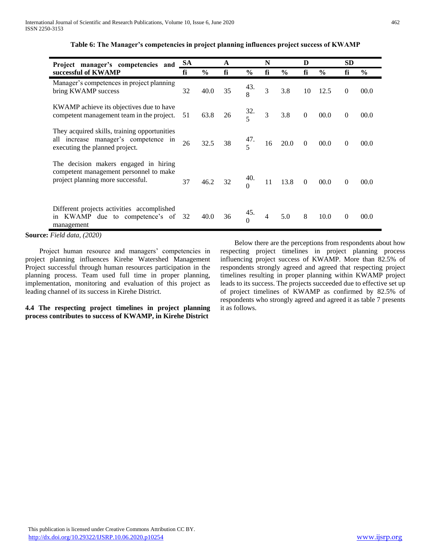| Project manager's competencies and                                                                                     | <b>SA</b> |               | A       |                | N              |                  | D            |               | <b>SD</b>      |      |
|------------------------------------------------------------------------------------------------------------------------|-----------|---------------|---------|----------------|----------------|------------------|--------------|---------------|----------------|------|
| successful of KWAMP                                                                                                    | fi        | $\frac{6}{9}$ | fi      | $\frac{6}{6}$  | fi             | $\frac{6}{9}$    | fi           | $\frac{6}{6}$ | fi             | $\%$ |
| Manager's competences in project planning<br>bring KWAMP success                                                       | 32        | 40.0          | 35      | 43.            | 3              | 3.8              | 10           | 12.5          | $\theta$       | 00.0 |
| KWAMP achieve its objectives due to have<br>competent management team in the project.                                  | 51        | 63.8          | 26      | $rac{32}{5}$   | $\overline{3}$ | 3.8              | $\mathbf{0}$ | 00.0          | $\Omega$       | 00.0 |
| They acquired skills, training opportunities<br>all increase manager's competence in<br>executing the planned project. | 26        | 32.5          | 38      | $\frac{47}{5}$ |                | $16$ 20.0 0 00.0 |              |               | $\theta$       | 00.0 |
| The decision makers engaged in hiring<br>competent management personnel to make<br>project planning more successful.   | 37        |               | 46.2 32 | $^{40.}_{0}$   |                | 11 13.8 0 00.0   |              |               | $\overline{0}$ | 00.0 |
| Different projects activities accomplished<br>in KWAMP due to competence's of 32<br>management                         |           | 40.0          | 36      | $\frac{45}{0}$ | $\overline{4}$ | 5.0              | 8            | 10.0          | $\theta$       | 00.0 |

#### **Table 6: The Manager's competencies in project planning influences project success of KWAMP**

**Source:** *Field data, (2020)*

 Project human resource and managers' competencies in project planning influences Kirehe Watershed Management Project successful through human resources participation in the planning process. Team used full time in proper planning, implementation, monitoring and evaluation of this project as leading channel of its success in Kirehe District.

**4.4 The respecting project timelines in project planning process contributes to success of KWAMP, in Kirehe District**

 Below there are the perceptions from respondents about how respecting project timelines in project planning process influencing project success of KWAMP. More than 82.5% of respondents strongly agreed and agreed that respecting project timelines resulting in proper planning within KWAMP project leads to its success. The projects succeeded due to effective set up of project timelines of KWAMP as confirmed by 82.5% of respondents who strongly agreed and agreed it as table 7 presents it as follows.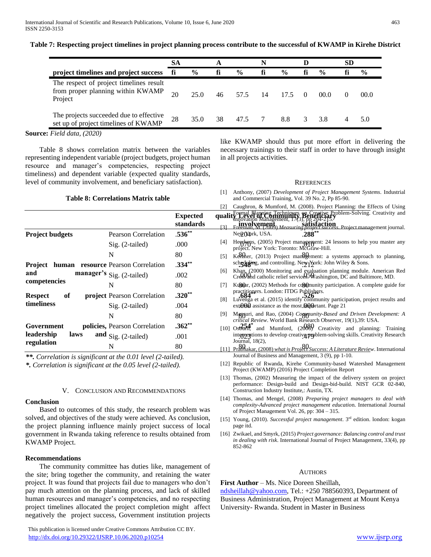|                                                                                         | SA |               | A  |               | N  |               |               | <b>SD</b> |               |
|-----------------------------------------------------------------------------------------|----|---------------|----|---------------|----|---------------|---------------|-----------|---------------|
| project timelines and project success                                                   | fi | $\frac{6}{9}$ | fi | $\frac{6}{6}$ | fi | $\frac{0}{0}$ | $\frac{0}{0}$ |           | $\frac{0}{0}$ |
| The respect of project timelines result<br>from proper planning within KWAMP<br>Project | 20 | 25.0          | 46 | 57.5          | 14 | 17.5          | 00.0          |           | 00.0          |
| The projects succeeded due to effective<br>set up of project timelines of KWAMP         | 28 | 35.0          | 38 | 47.5          |    | 8.8           | 3.8           |           |               |

**Table 7: Respecting project timelines in project planning process contribute to the successful of KWAMP in Kirehe District**

#### **Source:** *Field data, (2020)*

 Table 8 shows correlation matrix between the variables representing independent variable (project budgets, project human resource and manager's competencies, respecting project timeliness) and dependent variable (expected quality standards, level of community involvement, and beneficiary satisfaction).

#### **Table 8: Correlations Matrix table**

|                                                   |                                      |                              | $\lfloor 2 \rfloor$ | Caughton, $\alpha$ Munifiord, M. (2006). $\bf{r}$                                                   |
|---------------------------------------------------|--------------------------------------|------------------------------|---------------------|-----------------------------------------------------------------------------------------------------|
|                                                   |                                      | <b>Expected</b><br>standards |                     | quality Formal Planning Techniques on Creating<br>involvement<br>Freeman vertical Measuring project |
| <b>Project budgets</b>                            | <b>Pearson Correlation</b>           | $.536**$                     |                     | $.288**$<br>Ne@(York, USA.                                                                          |
|                                                   | $Sig. (2-tailed)$                    | .000                         | [4]                 | Heerkens, (2005) Project management<br>project. New York: Toronto: McGraw                           |
|                                                   | N                                    | 80                           | $\lceil 5 \rceil$   | Keezher, (2013) Project managemen                                                                   |
| <b>Project human resource Pearson Correlation</b> |                                      | $.334**$                     |                     | scheduling, and controlling. New Yor                                                                |
| and                                               | manager's Sig. (2-tailed)            | .002                         | [6]                 | Khan, (2000) Monitoring and evalua<br>Cross and catholic relief services.                           |
| competencies                                      | N                                    | 80                           | 171                 | Kurthar, (2002) Methods for communi                                                                 |
| of<br><b>Respect</b>                              | <b>project</b> Pearson Correlation   | $.320**$                     | [8]                 | practitioners. London: ITDG Publishe<br>$1004$<br>Luvenga et al. (2015) identify comm               |
| timeliness                                        | $Sig. (2-tailed)$                    | .004                         |                     | exterior assistance as the most.ful of the                                                          |
|                                                   | N                                    | 80                           | [9]                 | Maguri, and Rao, (2004) Compunit<br>critical Review. World Bank Research                            |
| Government                                        | <b>policies, Pearson Correlation</b> | $.362**$                     |                     | [10] $\text{Os}3.254$ and Mumford, $(2008)$                                                         |
| leadership<br>laws                                | and $Sig. (2-tailed)$                | .001                         |                     | intenyentions to develop creative probl<br>Journal, 18(2),                                          |
| regulation                                        | N                                    | 80                           |                     | $111.0.80$ elser (2008) what is Proi $80s$                                                          |

*\*\*. Correlation is significant at the 0.01 level (2-tailed).*

*\*. Correlation is significant at the 0.05 level (2-tailed).*

#### V. CONCLUSION AND RECOMMENDATIONS

## **Conclusion**

 Based to outcomes of this study, the research problem was solved, and objectives of the study were achieved. As conclusion, the project planning influence mainly project success of local government in Rwanda taking reference to results obtained from KWAMP Project.

#### **Recommendations**

 The community committee has duties like, management of the site; bring together the community, and retaining the water project. It was found that projects fail due to managers who don't pay much attention on the planning process, and lack of skilled human resources and manager's competencies, and no respecting project timelines allocated the project completion might affect negatively the project success, Government institution projects

 This publication is licensed under Creative Commons Attribution CC BY. <http://dx.doi.org/10.29322/IJSRP.10.06.2020.p10254> [www.ijsrp.org](http://ijsrp.org/)

like KWAMP should thus put more effort in delivering the necessary trainings to their staff in order to have through insight in all projects activities.

#### **REFERENCES**

| [1] Anthony, (2007) Development of Project Management Systems. Industrial |
|---------------------------------------------------------------------------|
| and Commercial Training, Vol. 39 No. 2, Pp 85-90.                         |

|                                                                           |                 | $\lceil 2 \rceil$ | Caughron, & Mumford, M. (2008). Project Planning: the Effects of Using                                                                                                                                           |
|---------------------------------------------------------------------------|-----------------|-------------------|------------------------------------------------------------------------------------------------------------------------------------------------------------------------------------------------------------------|
|                                                                           | <b>Expected</b> |                   | on Creative Problem-Solving. Creativity and                                                                                                                                                                      |
|                                                                           | standards       |                   | qualit Formal Planning Techniques Behreative Problem-Solving. Creativity and<br>thingovation Management, 17(3), pp.2014-215.<br>[3] Freeman, M. Technique Measuring Project Students Project management journal. |
| <b>Pearson Correlation</b>                                                | $.536**$        |                   | $.288***$<br>New(York, USA.                                                                                                                                                                                      |
| Sig. (2-tailed)                                                           | .000            | $[4]$             | Heerkens, (2005) Project management: 24 lessons to help you master any<br>project. New York: Toronto: McGraw-Hill.                                                                                               |
| N                                                                         | 80              | $\lceil 5 \rceil$ | Kerzher, (2013) Project management: a systems approach to planning,                                                                                                                                              |
| <b>Pearson Correlation</b>                                                | $.334**$        |                   | scheduling, and controlling. New York: John Wiley & Sons.                                                                                                                                                        |
| Sig. (2-tailed)                                                           | .002            | [6]               | Khan, (2000) Monitoring and gyaluation planning module. American Red<br>Cross and Baltimore, MD.                                                                                                                 |
| N                                                                         | 80              | $[7]$             | Kugna, (2002) Methods for cognitally participation. A complete guide for                                                                                                                                         |
| <b>Pearson Correlation</b>                                                | $.320**$        |                   | practitioners. London: ITDG Publishers.<br>Luvenga et al. (2015) identify community participation, project results and                                                                                           |
| Sig. (2-tailed)                                                           | .004            | [8]               | external assistance as the most.format. Page 21                                                                                                                                                                  |
| N                                                                         | 80              | [9]               | Magguri, and Rao, (2004) Coppunity-Based and Driven Development: A<br>critical Review. World Bank Research Observer, 19(1),39: USA.                                                                              |
| <b>Pearson Correlation</b>                                                | $.362**$        |                   | [10] $O\sqrt{2\pi n}$ , and Mumford, $(2008)$ Creativity and planning: Training                                                                                                                                  |
| Sig. (2-tailed)                                                           | .001            |                   | intenyentions to develop creativg problem-solving skills. Creativity Research                                                                                                                                    |
| N                                                                         | 80              | [11]              | Journal, 18(2),<br>Prabhakar, (2008) what is Project Success: A Literature Review. International                                                                                                                 |
| at the 0.01 level (2-tailed).                                             |                 |                   | Journal of Business and Management, 3 (9), pp 1-10.                                                                                                                                                              |
| t the 0.05 level (2-tailed).                                              |                 |                   | [12] Republic of Rwanda, Kirehe Community-based Watershed Management<br>Project (KWAMP) (2016) Project Completion Report                                                                                         |
| N AND RECOMMENDATIONS                                                     |                 |                   | [13] Thomas, (2002) Measuring the impact of the delivery system on project<br>performance: Design-build and Design-bid-build. NIST GCR 02-840,<br>Construction Industry Institute,: Austin, TX.                  |
| is study, the research problem was                                        |                 |                   | [14] Thomas, and Mengel, (2008) Preparing project managers to deal with<br>complexity-Advanced project management education. International Journal<br>of Project Management Vol. 26, pp: 304 - 315.              |
| study were achieved. As conclusion,<br>ce mainly project success of local |                 |                   | [15] Young, (2010). Successful project management. $3rd$ edition. london: kogan<br>page itd.                                                                                                                     |
| g reference to results obtained from                                      |                 |                   | [16] Zwikael, and Smyrk, (2015) Project governance: Balancing control and trust<br><i>in dealing with risk.</i> International Journal of Project Management, 33(4), pp<br>852-862                                |
| too hoo dutioo lilto, monoqomant of                                       |                 |                   |                                                                                                                                                                                                                  |

#### **AUTHORS**

First Author – Ms. Nice Doreen Sheillah, [ndsheillah@yahoo.com,](mailto:ndsheillah@yahoo.com) Tel.: +250 788560393, Department of Business Administration, Project Management at Mount Kenya University- Rwanda. Student in Master in Business